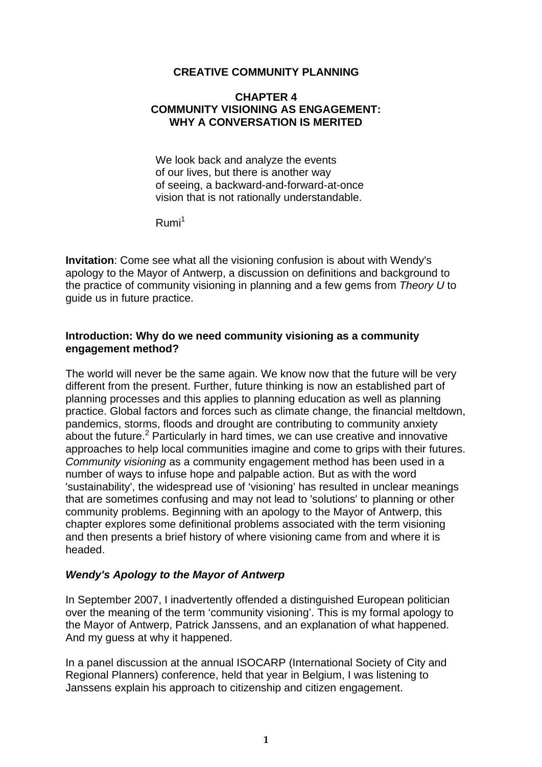# **CREATIVE COMMUNITY PLANNING**

#### **CHAPTER 4 COMMUNITY VISIONING AS ENGAGEMENT: WHY A CONVERSATION IS MERITED**

We look back and analyze the events of our lives, but there is another way of seeing, a backward-and-forward-at-once vision that is not rationally understandable.

 $Rumi<sup>1</sup>$ 

**Invitation**: Come see what all the visioning confusion is about with Wendy's apology to the Mayor of Antwerp, a discussion on definitions and background to the practice of community visioning in planning and a few gems from *Theory U* to guide us in future practice.

#### **Introduction: Why do we need community visioning as a community engagement method?**

The world will never be the same again. We know now that the future will be very different from the present. Further, future thinking is now an established part of planning processes and this applies to planning education as well as planning practice. Global factors and forces such as climate change, the financial meltdown, pandemics, storms, floods and drought are contributing to community anxiety about the future.<sup>2</sup> Particularly in hard times, we can use creative and innovative approaches to help local communities imagine and come to grips with their futures. *Community visioning* as a community engagement method has been used in a number of ways to infuse hope and palpable action. But as with the word 'sustainability', the widespread use of 'visioning' has resulted in unclear meanings that are sometimes confusing and may not lead to 'solutions' to planning or other community problems. Beginning with an apology to the Mayor of Antwerp, this chapter explores some definitional problems associated with the term visioning and then presents a brief history of where visioning came from and where it is headed.

### *Wendy's Apology to the Mayor of Antwerp*

In September 2007, I inadvertently offended a distinguished European politician over the meaning of the term 'community visioning'. This is my formal apology to the Mayor of Antwerp, Patrick Janssens, and an explanation of what happened. And my guess at why it happened.

In a panel discussion at the annual ISOCARP (International Society of City and Regional Planners) conference, held that year in Belgium, I was listening to Janssens explain his approach to citizenship and citizen engagement.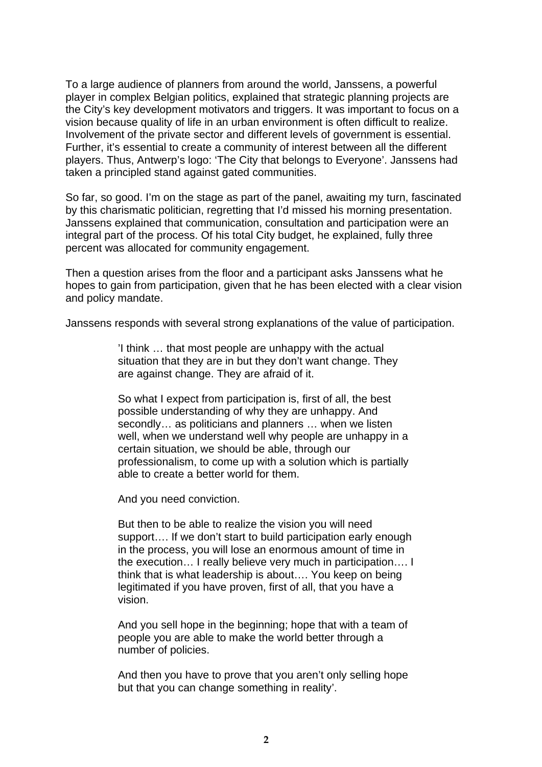To a large audience of planners from around the world, Janssens, a powerful player in complex Belgian politics, explained that strategic planning projects are the City's key development motivators and triggers. It was important to focus on a vision because quality of life in an urban environment is often difficult to realize. Involvement of the private sector and different levels of government is essential. Further, it's essential to create a community of interest between all the different players. Thus, Antwerp's logo: 'The City that belongs to Everyone'. Janssens had taken a principled stand against gated communities.

So far, so good. I'm on the stage as part of the panel, awaiting my turn, fascinated by this charismatic politician, regretting that I'd missed his morning presentation. Janssens explained that communication, consultation and participation were an integral part of the process. Of his total City budget, he explained, fully three percent was allocated for community engagement.

Then a question arises from the floor and a participant asks Janssens what he hopes to gain from participation, given that he has been elected with a clear vision and policy mandate.

Janssens responds with several strong explanations of the value of participation.

'I think … that most people are unhappy with the actual situation that they are in but they don't want change. They are against change. They are afraid of it.

So what I expect from participation is, first of all, the best possible understanding of why they are unhappy. And secondly… as politicians and planners … when we listen well, when we understand well why people are unhappy in a certain situation, we should be able, through our professionalism, to come up with a solution which is partially able to create a better world for them.

And you need conviction.

But then to be able to realize the vision you will need support…. If we don't start to build participation early enough in the process, you will lose an enormous amount of time in the execution… I really believe very much in participation…. I think that is what leadership is about…. You keep on being legitimated if you have proven, first of all, that you have a vision.

And you sell hope in the beginning; hope that with a team of people you are able to make the world better through a number of policies.

And then you have to prove that you aren't only selling hope but that you can change something in reality'.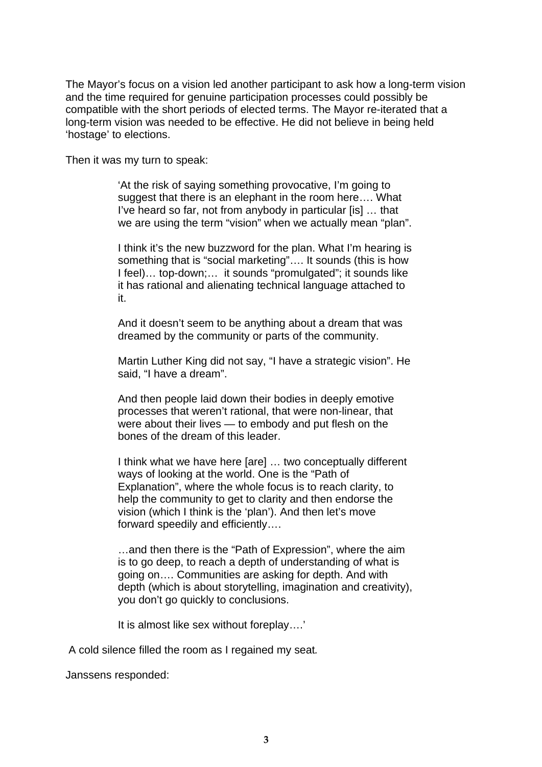The Mayor's focus on a vision led another participant to ask how a long-term vision and the time required for genuine participation processes could possibly be compatible with the short periods of elected terms. The Mayor re-iterated that a long-term vision was needed to be effective. He did not believe in being held 'hostage' to elections.

Then it was my turn to speak:

'At the risk of saying something provocative, I'm going to suggest that there is an elephant in the room here…. What I've heard so far, not from anybody in particular [is] … that we are using the term "vision" when we actually mean "plan".

I think it's the new buzzword for the plan. What I'm hearing is something that is "social marketing"…. It sounds (this is how I feel)… top-down;… it sounds "promulgated"; it sounds like it has rational and alienating technical language attached to it.

And it doesn't seem to be anything about a dream that was dreamed by the community or parts of the community.

Martin Luther King did not say, "I have a strategic vision". He said, "I have a dream".

And then people laid down their bodies in deeply emotive processes that weren't rational, that were non-linear, that were about their lives — to embody and put flesh on the bones of the dream of this leader.

I think what we have here [are] … two conceptually different ways of looking at the world. One is the "Path of Explanation", where the whole focus is to reach clarity, to help the community to get to clarity and then endorse the vision (which I think is the 'plan'). And then let's move forward speedily and efficiently....

…and then there is the "Path of Expression", where the aim is to go deep, to reach a depth of understanding of what is going on…. Communities are asking for depth. And with depth (which is about storytelling, imagination and creativity), you don't go quickly to conclusions.

It is almost like sex without foreplay….'

A cold silence filled the room as I regained my seat*.* 

Janssens responded: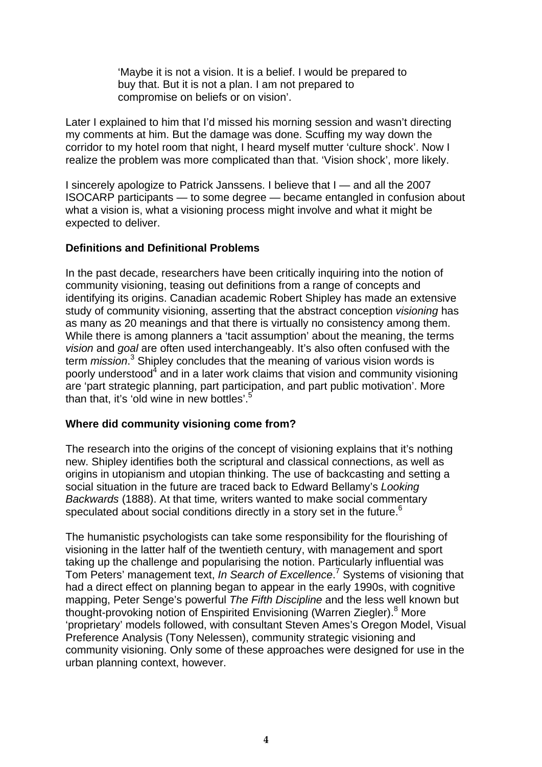'Maybe it is not a vision. It is a belief. I would be prepared to buy that. But it is not a plan. I am not prepared to compromise on beliefs or on vision'.

Later I explained to him that I'd missed his morning session and wasn't directing my comments at him. But the damage was done. Scuffing my way down the corridor to my hotel room that night. I heard myself mutter 'culture shock'. Now I realize the problem was more complicated than that. 'Vision shock', more likely.

I sincerely apologize to Patrick Janssens. I believe that I — and all the 2007 ISOCARP participants — to some degree — became entangled in confusion about what a vision is, what a visioning process might involve and what it might be expected to deliver.

### **Definitions and Definitional Problems**

In the past decade, researchers have been critically inquiring into the notion of community visioning, teasing out definitions from a range of concepts and identifying its origins. Canadian academic Robert Shipley has made an extensive study of community visioning, asserting that the abstract conception *visioning* has as many as 20 meanings and that there is virtually no consistency among them. While there is among planners a 'tacit assumption' about the meaning, the terms *vision* and *goal* are often used interchangeably. It's also often confused with the term *mission*. 3 Shipley concludes that the meaning of various vision words is poorly understood<sup>4</sup> and in a later work claims that vision and community visioning are 'part strategic planning, part participation, and part public motivation'. More than that, it's 'old wine in new bottles'.

### **Where did community visioning come from?**

The research into the origins of the concept of visioning explains that it's nothing new. Shipley identifies both the scriptural and classical connections, as well as origins in utopianism and utopian thinking. The use of backcasting and setting a social situation in the future are traced back to Edward Bellamy's *Looking Backwards* (1888). At that time*,* writers wanted to make social commentary speculated about social conditions directly in a story set in the future.<sup>6</sup>

The humanistic psychologists can take some responsibility for the flourishing of visioning in the latter half of the twentieth century, with management and sport taking up the challenge and popularising the notion. Particularly influential was Tom Peters' management text, *In Search of Excellence*.<sup>7</sup> Systems of visioning that had a direct effect on planning began to appear in the early 1990s, with cognitive mapping, Peter Senge's powerful *The Fifth Discipline* and the less well known but thought-provoking notion of Enspirited Envisioning (Warren Ziegler).<sup>8</sup> More 'proprietary' models followed, with consultant Steven Ames's Oregon Model, Visual Preference Analysis (Tony Nelessen), community strategic visioning and community visioning. Only some of these approaches were designed for use in the urban planning context, however.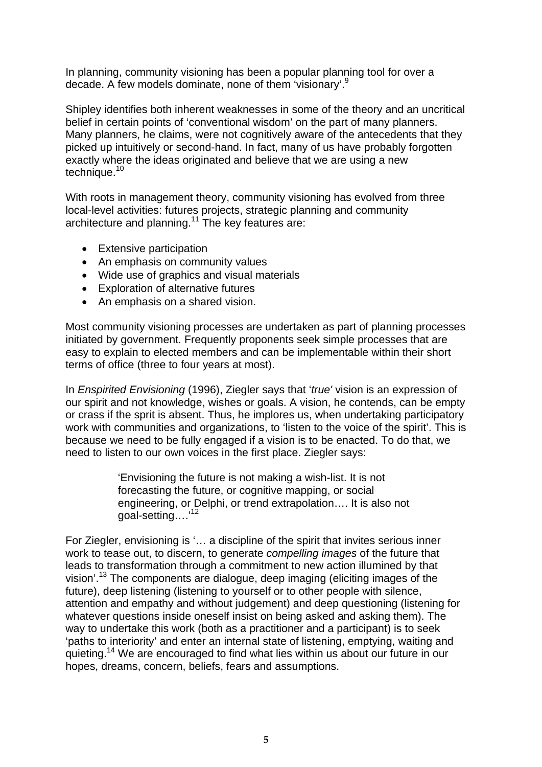In planning, community visioning has been a popular planning tool for over a decade. A few models dominate, none of them 'visionary'.9

Shipley identifies both inherent weaknesses in some of the theory and an uncritical belief in certain points of 'conventional wisdom' on the part of many planners. Many planners, he claims, were not cognitively aware of the antecedents that they picked up intuitively or second-hand. In fact, many of us have probably forgotten exactly where the ideas originated and believe that we are using a new technique.<sup>10</sup>

With roots in management theory, community visioning has evolved from three local-level activities: futures projects, strategic planning and community architecture and planning.11 The key features are:

- Extensive participation
- An emphasis on community values
- Wide use of graphics and visual materials
- Exploration of alternative futures
- An emphasis on a shared vision.

Most community visioning processes are undertaken as part of planning processes initiated by government. Frequently proponents seek simple processes that are easy to explain to elected members and can be implementable within their short terms of office (three to four years at most).

In *Enspirited Envisioning* (1996), Ziegler says that '*true'* vision is an expression of our spirit and not knowledge, wishes or goals. A vision, he contends, can be empty or crass if the sprit is absent. Thus, he implores us, when undertaking participatory work with communities and organizations, to 'listen to the voice of the spirit'. This is because we need to be fully engaged if a vision is to be enacted. To do that, we need to listen to our own voices in the first place. Ziegler says:

> 'Envisioning the future is not making a wish-list. It is not forecasting the future, or cognitive mapping, or social engineering, or Delphi, or trend extrapolation…. It is also not goal-setting….'12

For Ziegler, envisioning is '… a discipline of the spirit that invites serious inner work to tease out, to discern, to generate *compelling images* of the future that leads to transformation through a commitment to new action illumined by that vision'.13 The components are dialogue, deep imaging (eliciting images of the future), deep listening (listening to yourself or to other people with silence, attention and empathy and without judgement) and deep questioning (listening for whatever questions inside oneself insist on being asked and asking them). The way to undertake this work (both as a practitioner and a participant) is to seek 'paths to interiority' and enter an internal state of listening, emptying, waiting and quieting.14 We are encouraged to find what lies within us about our future in our hopes, dreams, concern, beliefs, fears and assumptions.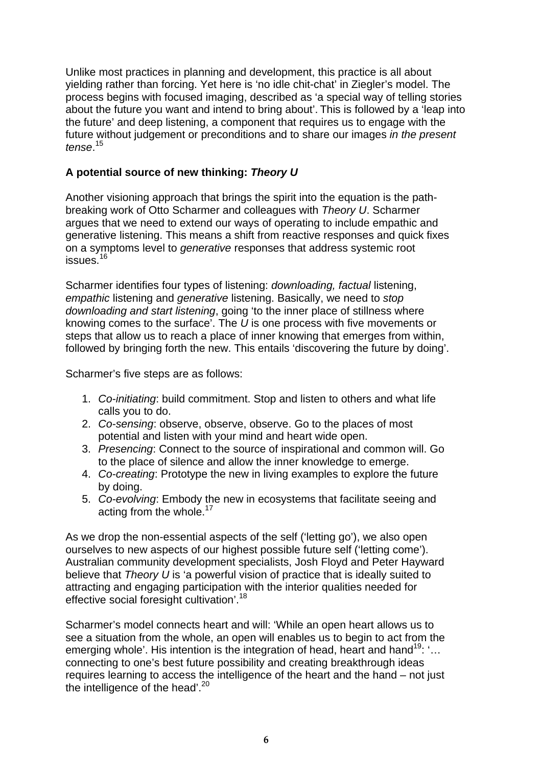Unlike most practices in planning and development, this practice is all about yielding rather than forcing. Yet here is 'no idle chit-chat' in Ziegler's model. The process begins with focused imaging, described as 'a special way of telling stories about the future you want and intend to bring about'. This is followed by a 'leap into the future' and deep listening, a component that requires us to engage with the future without judgement or preconditions and to share our images *in the present tense*. 15

# **A potential source of new thinking:** *Theory U*

Another visioning approach that brings the spirit into the equation is the pathbreaking work of Otto Scharmer and colleagues with *Theory U*. Scharmer argues that we need to extend our ways of operating to include empathic and generative listening. This means a shift from reactive responses and quick fixes on a symptoms level to *generative* responses that address systemic root issues.16

Scharmer identifies four types of listening: *downloading, factual* listening, *empathic* listening and *generative* listening. Basically, we need to *stop downloading and start listening*, going 'to the inner place of stillness where knowing comes to the surface'. The *U* is one process with five movements or steps that allow us to reach a place of inner knowing that emerges from within, followed by bringing forth the new. This entails 'discovering the future by doing'.

Scharmer's five steps are as follows:

- 1. *Co-initiating*: build commitment. Stop and listen to others and what life calls you to do.
- 2. *Co-sensing*: observe, observe, observe. Go to the places of most potential and listen with your mind and heart wide open.
- 3. *Presencing*: Connect to the source of inspirational and common will. Go to the place of silence and allow the inner knowledge to emerge.
- 4. *Co-creating*: Prototype the new in living examples to explore the future by doing.
- 5. *Co-evolving*: Embody the new in ecosystems that facilitate seeing and acting from the whole. $17$

As we drop the non-essential aspects of the self ('letting go'), we also open ourselves to new aspects of our highest possible future self ('letting come'). Australian community development specialists, Josh Floyd and Peter Hayward believe that *Theory U* is 'a powerful vision of practice that is ideally suited to attracting and engaging participation with the interior qualities needed for effective social foresight cultivation'.<sup>18</sup>

Scharmer's model connects heart and will: 'While an open heart allows us to see a situation from the whole, an open will enables us to begin to act from the emerging whole'. His intention is the integration of head, heart and hand<sup>19</sup>: '... connecting to one's best future possibility and creating breakthrough ideas requires learning to access the intelligence of the heart and the hand – not just the intelligence of the head'.<sup>20</sup>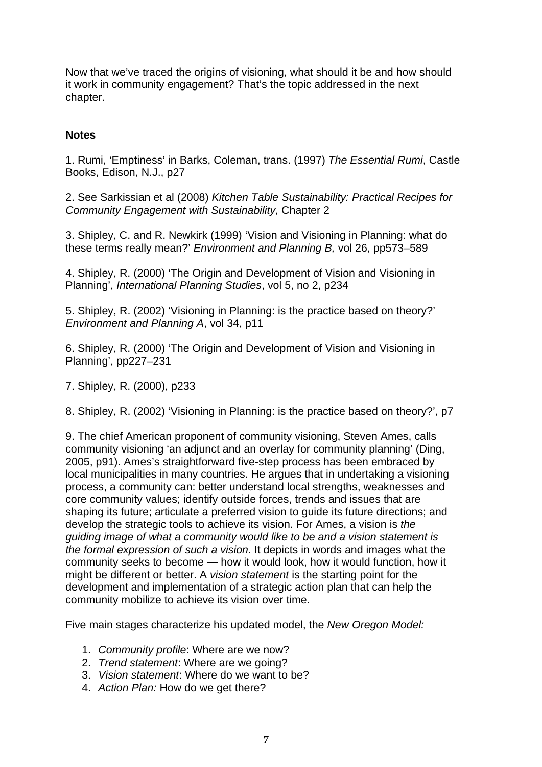Now that we've traced the origins of visioning, what should it be and how should it work in community engagement? That's the topic addressed in the next chapter.

## **Notes**

1. Rumi, 'Emptiness' in Barks, Coleman, trans. (1997) *The Essential Rumi*, Castle Books, Edison, N.J., p27

2. See Sarkissian et al (2008) *Kitchen Table Sustainability: Practical Recipes for Community Engagement with Sustainability,* Chapter 2

3. Shipley, C. and R. Newkirk (1999) 'Vision and Visioning in Planning: what do these terms really mean?' *Environment and Planning B,* vol 26, pp573–589

4. Shipley, R. (2000) 'The Origin and Development of Vision and Visioning in Planning', *International Planning Studies*, vol 5, no 2, p234

5. Shipley, R. (2002) 'Visioning in Planning: is the practice based on theory?' *Environment and Planning A*, vol 34, p11

6. Shipley, R. (2000) 'The Origin and Development of Vision and Visioning in Planning', pp227–231

7. Shipley, R. (2000), p233

8. Shipley, R. (2002) 'Visioning in Planning: is the practice based on theory?', p7

9. The chief American proponent of community visioning, Steven Ames, calls community visioning 'an adjunct and an overlay for community planning' (Ding, 2005, p91). Ames's straightforward five-step process has been embraced by local municipalities in many countries. He argues that in undertaking a visioning process, a community can: better understand local strengths, weaknesses and core community values; identify outside forces, trends and issues that are shaping its future; articulate a preferred vision to guide its future directions; and develop the strategic tools to achieve its vision. For Ames, a vision is *the guiding image of what a community would like to be and a vision statement is the formal expression of such a vision*. It depicts in words and images what the community seeks to become — how it would look, how it would function, how it might be different or better. A *vision statement* is the starting point for the development and implementation of a strategic action plan that can help the community mobilize to achieve its vision over time.

Five main stages characterize his updated model, the *New Oregon Model:* 

- 1. *Community profile*: Where are we now?
- 2. *Trend statement*: Where are we going?
- 3. *Vision statement*: Where do we want to be?
- 4. *Action Plan:* How do we get there?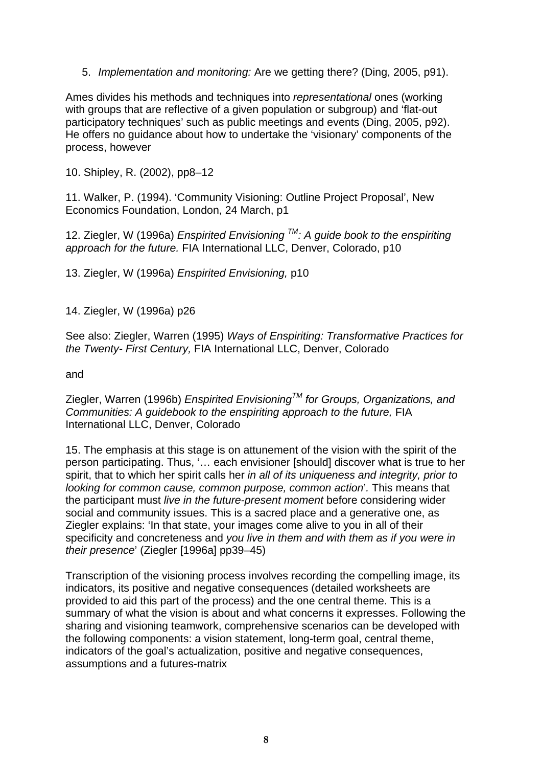5. *Implementation and monitoring:* Are we getting there? (Ding, 2005, p91).

Ames divides his methods and techniques into *representational* ones (working with groups that are reflective of a given population or subgroup) and 'flat-out participatory techniques' such as public meetings and events (Ding, 2005, p92). He offers no guidance about how to undertake the 'visionary' components of the process, however

10. Shipley, R. (2002), pp8–12

11. Walker, P. (1994). 'Community Visioning: Outline Project Proposal', New Economics Foundation, London, 24 March, p1

12. Ziegler, W (1996a) *Enspirited Envisioning TM: A guide book to the enspiriting approach for the future.* FIA International LLC, Denver, Colorado, p10

13. Ziegler, W (1996a) *Enspirited Envisioning,* p10

14. Ziegler, W (1996a) p26

See also: Ziegler, Warren (1995) *Ways of Enspiriting: Transformative Practices for the Twenty- First Century,* FIA International LLC, Denver, Colorado

and

Ziegler, Warren (1996b) *Enspirited EnvisioningTM for Groups, Organizations, and Communities: A guidebook to the enspiriting approach to the future,* FIA International LLC, Denver, Colorado

15. The emphasis at this stage is on attunement of the vision with the spirit of the person participating. Thus, '… each envisioner [should] discover what is true to her spirit, that to which her spirit calls her *in all of its uniqueness and integrity, prior to looking for common cause, common purpose, common action*'*.* This means that the participant must *live in the future-present moment* before considering wider social and community issues. This is a sacred place and a generative one, as Ziegler explains: 'In that state, your images come alive to you in all of their specificity and concreteness and *you live in them and with them as if you were in their presence*' (Ziegler [1996a] pp39–45)

Transcription of the visioning process involves recording the compelling image, its indicators, its positive and negative consequences (detailed worksheets are provided to aid this part of the process) and the one central theme. This is a summary of what the vision is about and what concerns it expresses. Following the sharing and visioning teamwork, comprehensive scenarios can be developed with the following components: a vision statement, long-term goal, central theme, indicators of the goal's actualization, positive and negative consequences, assumptions and a futures-matrix